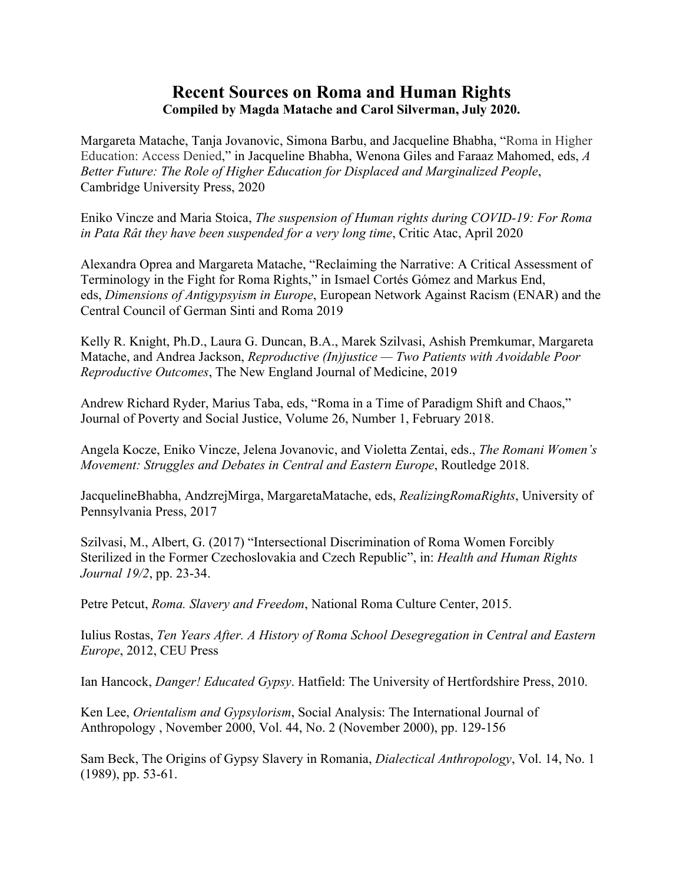## **Recent Sources on Roma and Human Rights Compiled by Magda Matache and Carol Silverman, July 2020.**

Margareta Matache, Tanja Jovanovic, Simona Barbu, and Jacqueline Bhabha, "Roma in Higher Education: Access Denied," in Jacqueline Bhabha, Wenona Giles and Faraaz Mahomed, eds, *A Better Future: The Role of Higher Education for Displaced and Marginalized People*, Cambridge University Press, 2020

Eniko Vincze and Maria Stoica, *The suspension of Human rights during COVID-19: For Roma in Pata Rât they have been suspended for a very long time*, Critic Atac, April 2020

Alexandra Oprea and Margareta Matache, "Reclaiming the Narrative: A Critical Assessment of Terminology in the Fight for Roma Rights," in Ismael Cortés Gómez and Markus End, eds, *Dimensions of Antigypsyism in Europe*, European Network Against Racism (ENAR) and the Central Council of German Sinti and Roma 2019

Kelly R. Knight, Ph.D., Laura G. Duncan, B.A., Marek Szilvasi, Ashish Premkumar, Margareta Matache, and Andrea Jackson, *Reproductive (In)justice — Two Patients with Avoidable Poor Reproductive Outcomes*, The New England Journal of Medicine, 2019

Andrew Richard Ryder, Marius Taba, eds, "Roma in a Time of Paradigm Shift and Chaos," Journal of Poverty and Social Justice, Volume 26, Number 1, February 2018.

Angela Kocze, Eniko Vincze, Jelena Jovanovic, and Violetta Zentai, eds., *The Romani Women's Movement: Struggles and Debates in Central and Eastern Europe*, Routledge 2018.

JacquelineBhabha, AndzrejMirga, MargaretaMatache, eds, *RealizingRomaRights*, University of Pennsylvania Press, 2017

Szilvasi, M., Albert, G. (2017) "Intersectional Discrimination of Roma Women Forcibly Sterilized in the Former Czechoslovakia and Czech Republic", in: *Health and Human Rights Journal 19/2*, pp. 23-34.

Petre Petcut, *Roma. Slavery and Freedom*, National Roma Culture Center, 2015.

Iulius Rostas, *Ten Years After. A History of Roma School Desegregation in Central and Eastern Europe*, 2012, CEU Press

Ian Hancock, *Danger! Educated Gypsy*. Hatfield: The University of Hertfordshire Press, 2010.

Ken Lee, *Orientalism and Gypsylorism*, Social Analysis: The International Journal of Anthropology , November 2000, Vol. 44, No. 2 (November 2000), pp. 129-156

Sam Beck, The Origins of Gypsy Slavery in Romania, *Dialectical Anthropology*, Vol. 14, No. 1 (1989), pp. 53-61.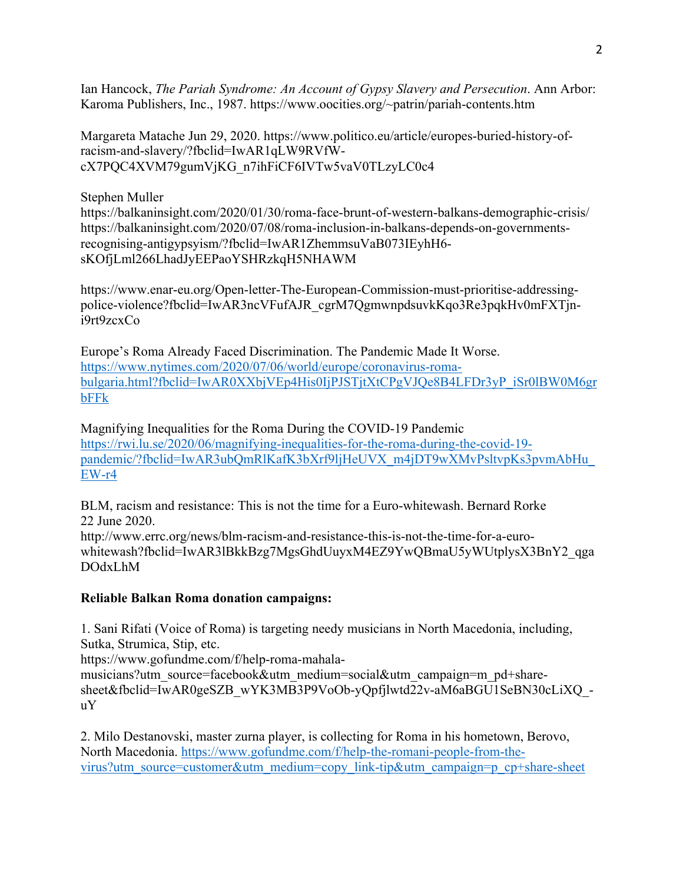Ian Hancock, *The Pariah Syndrome: An Account of Gypsy Slavery and Persecution*. Ann Arbor: Karoma Publishers, Inc., 1987. https://www.oocities.org/~patrin/pariah-contents.htm

Margareta Matache Jun 29, 2020. https://www.politico.eu/article/europes-buried-history-ofracism-and-slavery/?fbclid=IwAR1qLW9RVfWcX7PQC4XVM79gumVjKG\_n7ihFiCF6IVTw5vaV0TLzyLC0c4

Stephen Muller

https://balkaninsight.com/2020/01/30/roma-face-brunt-of-western-balkans-demographic-crisis/ https://balkaninsight.com/2020/07/08/roma-inclusion-in-balkans-depends-on-governmentsrecognising-antigypsyism/?fbclid=IwAR1ZhemmsuVaB073IEyhH6 sKOfjLml266LhadJyEEPaoYSHRzkqH5NHAWM

https://www.enar-eu.org/Open-letter-The-European-Commission-must-prioritise-addressingpolice-violence?fbclid=IwAR3ncVFufAJR\_cgrM7QgmwnpdsuvkKqo3Re3pqkHv0mFXTjni9rt9zcxCo

Europe's Roma Already Faced Discrimination. The Pandemic Made It Worse. https://www.nytimes.com/2020/07/06/world/europe/coronavirus-romabulgaria.html?fbclid=IwAR0XXbjVEp4His0IjPJSTjtXtCPgVJQe8B4LFDr3yP\_iSr0lBW0M6gr bFFk

Magnifying Inequalities for the Roma During the COVID-19 Pandemic https://rwi.lu.se/2020/06/magnifying-inequalities-for-the-roma-during-the-covid-19 pandemic/?fbclid=IwAR3ubQmRlKafK3bXrf9ljHeUVX\_m4jDT9wXMvPsltvpKs3pvmAbHu\_ EW-r4

BLM, racism and resistance: This is not the time for a Euro-whitewash. Bernard Rorke 22 June 2020.

http://www.errc.org/news/blm-racism-and-resistance-this-is-not-the-time-for-a-eurowhitewash?fbclid=IwAR3lBkkBzg7MgsGhdUuyxM4EZ9YwQBmaU5yWUtplysX3BnY2\_qga DOdxLhM

## **Reliable Balkan Roma donation campaigns:**

1. Sani Rifati (Voice of Roma) is targeting needy musicians in North Macedonia, including, Sutka, Strumica, Stip, etc.

https://www.gofundme.com/f/help-roma-mahala-

musicians?utm\_source=facebook&utm\_medium=social&utm\_campaign=m\_pd+sharesheet&fbclid=IwAR0geSZB\_wYK3MB3P9VoOb-yQpfjlwtd22v-aM6aBGU1SeBN30cLiXQ\_uY

2. Milo Destanovski, master zurna player, is collecting for Roma in his hometown, Berovo, North Macedonia. https://www.gofundme.com/f/help-the-romani-people-from-thevirus?utm\_source=customer&utm\_medium=copy\_link-tip&utm\_campaign=p\_cp+share-sheet